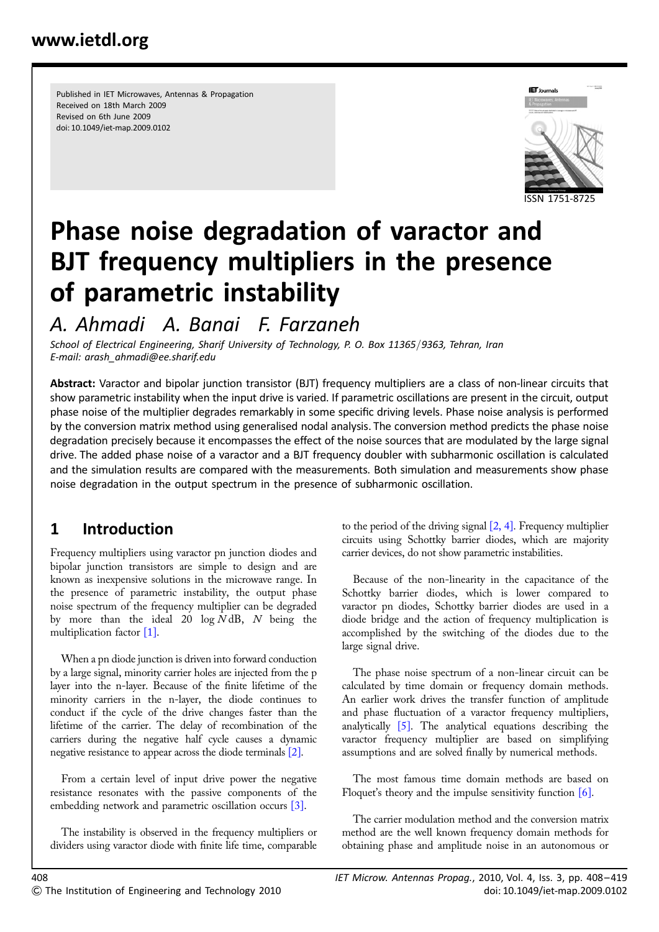Published in IET Microwaves, Antennas & Propagation Received on 18th March 2009 Revised on 6th June 2009 doi: 10.1049/iet-map.2009.0102



# Phase noise degradation of varactor and BJT frequency multipliers in the presence of parametric instability

## A. Ahmadi A. Banai F. Farzaneh

School of Electrical Engineering, Sharif University of Technology, P. O. Box 11365/9363, Tehran, Iran E-mail: arash\_ahmadi@ee.sharif.edu

Abstract: Varactor and bipolar junction transistor (BJT) frequency multipliers are a class of non-linear circuits that show parametric instability when the input drive is varied. If parametric oscillations are present in the circuit, output phase noise of the multiplier degrades remarkably in some specific driving levels. Phase noise analysis is performed by the conversion matrix method using generalised nodal analysis. The conversion method predicts the phase noise degradation precisely because it encompasses the effect of the noise sources that are modulated by the large signal drive. The added phase noise of a varactor and a BJT frequency doubler with subharmonic oscillation is calculated and the simulation results are compared with the measurements. Both simulation and measurements show phase noise degradation in the output spectrum in the presence of subharmonic oscillation.

## 1 Introduction

Frequency multipliers using varactor pn junction diodes and bipolar junction transistors are simple to design and are known as inexpensive solutions in the microwave range. In the presence of parametric instability, the output phase noise spectrum of the frequency multiplier can be degraded by more than the ideal 20  $\log N$  dB, N being the multiplication factor [1].

When a pn diode junction is driven into forward conduction by a large signal, minority carrier holes are injected from the p layer into the n-layer. Because of the finite lifetime of the minority carriers in the n-layer, the diode continues to conduct if the cycle of the drive changes faster than the lifetime of the carrier. The delay of recombination of the carriers during the negative half cycle causes a dynamic negative resistance to appear across the diode terminals [2].

From a certain level of input drive power the negative resistance resonates with the passive components of the embedding network and parametric oscillation occurs [3].

The instability is observed in the frequency multipliers or dividers using varactor diode with finite life time, comparable

to the period of the driving signal  $[2, 4]$ . Frequency multiplier circuits using Schottky barrier diodes, which are majority carrier devices, do not show parametric instabilities.

Because of the non-linearity in the capacitance of the Schottky barrier diodes, which is lower compared to varactor pn diodes, Schottky barrier diodes are used in a diode bridge and the action of frequency multiplication is accomplished by the switching of the diodes due to the large signal drive.

The phase noise spectrum of a non-linear circuit can be calculated by time domain or frequency domain methods. An earlier work drives the transfer function of amplitude and phase fluctuation of a varactor frequency multipliers, analytically [5]. The analytical equations describing the varactor frequency multiplier are based on simplifying assumptions and are solved finally by numerical methods.

The most famous time domain methods are based on Floquet's theory and the impulse sensitivity function [6].

The carrier modulation method and the conversion matrix method are the well known frequency domain methods for obtaining phase and amplitude noise in an autonomous or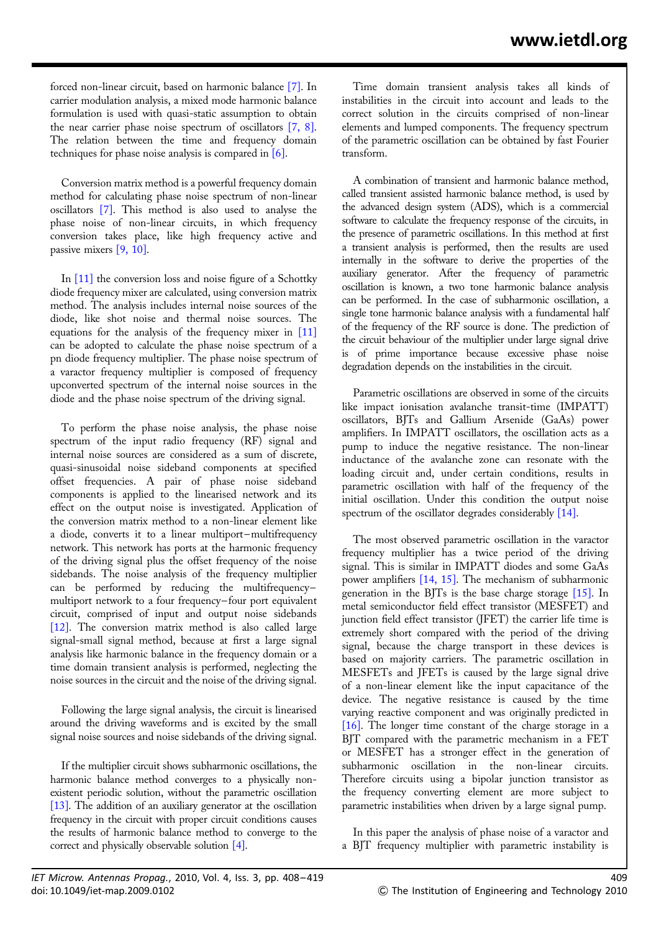forced non-linear circuit, based on harmonic balance [7]. In carrier modulation analysis, a mixed mode harmonic balance formulation is used with quasi-static assumption to obtain the near carrier phase noise spectrum of oscillators [7, 8]. The relation between the time and frequency domain techniques for phase noise analysis is compared in  $\lceil 6 \rceil$ .

Conversion matrix method is a powerful frequency domain method for calculating phase noise spectrum of non-linear oscillators [7]. This method is also used to analyse the phase noise of non-linear circuits, in which frequency conversion takes place, like high frequency active and passive mixers [9, 10].

In [11] the conversion loss and noise figure of a Schottky diode frequency mixer are calculated, using conversion matrix method. The analysis includes internal noise sources of the diode, like shot noise and thermal noise sources. The equations for the analysis of the frequency mixer in [11] can be adopted to calculate the phase noise spectrum of a pn diode frequency multiplier. The phase noise spectrum of a varactor frequency multiplier is composed of frequency upconverted spectrum of the internal noise sources in the diode and the phase noise spectrum of the driving signal.

To perform the phase noise analysis, the phase noise spectrum of the input radio frequency (RF) signal and internal noise sources are considered as a sum of discrete, quasi-sinusoidal noise sideband components at specified offset frequencies. A pair of phase noise sideband components is applied to the linearised network and its effect on the output noise is investigated. Application of the conversion matrix method to a non-linear element like a diode, converts it to a linear multiport –multifrequency network. This network has ports at the harmonic frequency of the driving signal plus the offset frequency of the noise sidebands. The noise analysis of the frequency multiplier can be performed by reducing the multifrequencymultiport network to a four frequency– four port equivalent circuit, comprised of input and output noise sidebands [12]. The conversion matrix method is also called large signal-small signal method, because at first a large signal analysis like harmonic balance in the frequency domain or a time domain transient analysis is performed, neglecting the noise sources in the circuit and the noise of the driving signal.

Following the large signal analysis, the circuit is linearised around the driving waveforms and is excited by the small signal noise sources and noise sidebands of the driving signal.

If the multiplier circuit shows subharmonic oscillations, the harmonic balance method converges to a physically nonexistent periodic solution, without the parametric oscillation [13]. The addition of an auxiliary generator at the oscillation frequency in the circuit with proper circuit conditions causes the results of harmonic balance method to converge to the correct and physically observable solution [4].

Time domain transient analysis takes all kinds of instabilities in the circuit into account and leads to the correct solution in the circuits comprised of non-linear elements and lumped components. The frequency spectrum of the parametric oscillation can be obtained by fast Fourier transform.

A combination of transient and harmonic balance method, called transient assisted harmonic balance method, is used by the advanced design system (ADS), which is a commercial software to calculate the frequency response of the circuits, in the presence of parametric oscillations. In this method at first a transient analysis is performed, then the results are used internally in the software to derive the properties of the auxiliary generator. After the frequency of parametric oscillation is known, a two tone harmonic balance analysis can be performed. In the case of subharmonic oscillation, a single tone harmonic balance analysis with a fundamental half of the frequency of the RF source is done. The prediction of the circuit behaviour of the multiplier under large signal drive is of prime importance because excessive phase noise degradation depends on the instabilities in the circuit.

Parametric oscillations are observed in some of the circuits like impact ionisation avalanche transit-time (IMPATT) oscillators, BJTs and Gallium Arsenide (GaAs) power amplifiers. In IMPATT oscillators, the oscillation acts as a pump to induce the negative resistance. The non-linear inductance of the avalanche zone can resonate with the loading circuit and, under certain conditions, results in parametric oscillation with half of the frequency of the initial oscillation. Under this condition the output noise spectrum of the oscillator degrades considerably [14].

The most observed parametric oscillation in the varactor frequency multiplier has a twice period of the driving signal. This is similar in IMPATT diodes and some GaAs power amplifiers [14, 15]. The mechanism of subharmonic generation in the BJTs is the base charge storage [15]. In metal semiconductor field effect transistor (MESFET) and junction field effect transistor (JFET) the carrier life time is extremely short compared with the period of the driving signal, because the charge transport in these devices is based on majority carriers. The parametric oscillation in MESFETs and JFETs is caused by the large signal drive of a non-linear element like the input capacitance of the device. The negative resistance is caused by the time varying reactive component and was originally predicted in [16]. The longer time constant of the charge storage in a BJT compared with the parametric mechanism in a FET or MESFET has a stronger effect in the generation of subharmonic oscillation in the non-linear circuits. Therefore circuits using a bipolar junction transistor as the frequency converting element are more subject to parametric instabilities when driven by a large signal pump.

In this paper the analysis of phase noise of a varactor and a BJT frequency multiplier with parametric instability is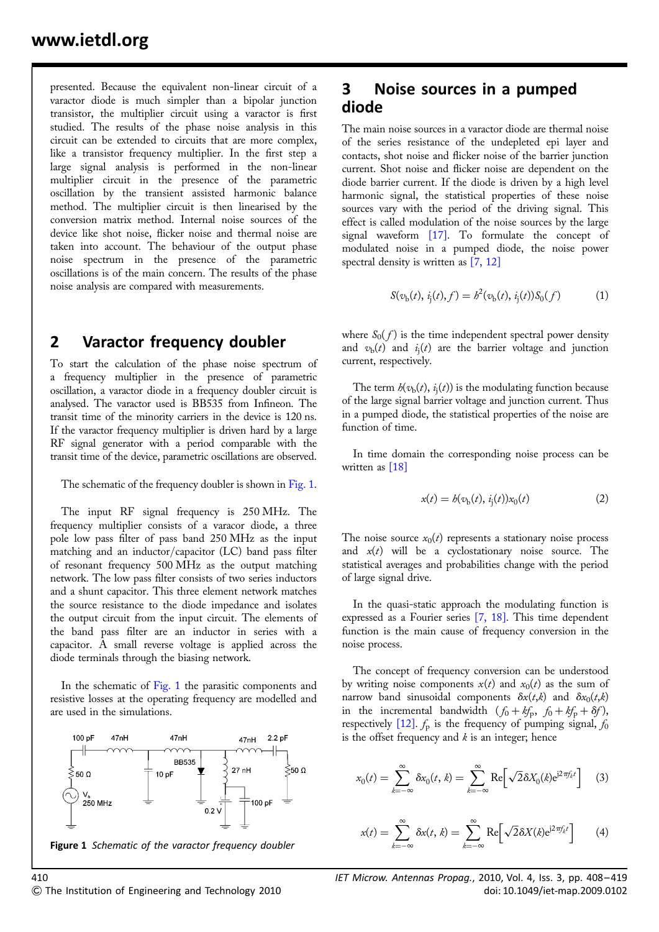presented. Because the equivalent non-linear circuit of a varactor diode is much simpler than a bipolar junction transistor, the multiplier circuit using a varactor is first studied. The results of the phase noise analysis in this circuit can be extended to circuits that are more complex, like a transistor frequency multiplier. In the first step a large signal analysis is performed in the non-linear multiplier circuit in the presence of the parametric oscillation by the transient assisted harmonic balance method. The multiplier circuit is then linearised by the conversion matrix method. Internal noise sources of the device like shot noise, flicker noise and thermal noise are taken into account. The behaviour of the output phase noise spectrum in the presence of the parametric oscillations is of the main concern. The results of the phase noise analysis are compared with measurements.

#### 2 Varactor frequency doubler

To start the calculation of the phase noise spectrum of a frequency multiplier in the presence of parametric oscillation, a varactor diode in a frequency doubler circuit is analysed. The varactor used is BB535 from Infineon. The transit time of the minority carriers in the device is 120 ns. If the varactor frequency multiplier is driven hard by a large RF signal generator with a period comparable with the transit time of the device, parametric oscillations are observed.

The schematic of the frequency doubler is shown in Fig. 1.

The input RF signal frequency is 250 MHz. The frequency multiplier consists of a varacor diode, a three pole low pass filter of pass band 250 MHz as the input matching and an inductor/capacitor (LC) band pass filter of resonant frequency 500 MHz as the output matching network. The low pass filter consists of two series inductors and a shunt capacitor. This three element network matches the source resistance to the diode impedance and isolates the output circuit from the input circuit. The elements of the band pass filter are an inductor in series with a capacitor. A small reverse voltage is applied across the diode terminals through the biasing network.

In the schematic of Fig. 1 the parasitic components and resistive losses at the operating frequency are modelled and are used in the simulations.





#### 3 Noise sources in a pumped diode

The main noise sources in a varactor diode are thermal noise of the series resistance of the undepleted epi layer and contacts, shot noise and flicker noise of the barrier junction current. Shot noise and flicker noise are dependent on the diode barrier current. If the diode is driven by a high level harmonic signal, the statistical properties of these noise sources vary with the period of the driving signal. This effect is called modulation of the noise sources by the large signal waveform [17]. To formulate the concept of modulated noise in a pumped diode, the noise power spectral density is written as [7, 12]

$$
S(vb(t), ij(t), f) = b2(vb(t), ij(t))S0(f)
$$
 (1)

where  $S_0(f)$  is the time independent spectral power density and  $v<sub>b</sub>(t)$  and  $i<sub>i</sub>(t)$  are the barrier voltage and junction current, respectively.

The term  $h(v<sub>b</sub>(t), i<sub>i</sub>(t))$  is the modulating function because of the large signal barrier voltage and junction current. Thus in a pumped diode, the statistical properties of the noise are function of time.

In time domain the corresponding noise process can be written as [18]

$$
x(t) = h(vb(t), ij(t))x0(t)
$$
 (2)

The noise source  $x_0(t)$  represents a stationary noise process and  $x(t)$  will be a cyclostationary noise source. The statistical averages and probabilities change with the period of large signal drive.

In the quasi-static approach the modulating function is expressed as a Fourier series [7, 18]. This time dependent function is the main cause of frequency conversion in the noise process.

The concept of frequency conversion can be understood by writing noise components  $x(t)$  and  $x_0(t)$  as the sum of narrow band sinusoidal components  $\delta x(t,k)$  and  $\delta x_0(t,k)$ in the incremental bandwidth  $(f_0 + kf_p, f_0 + kf_p + \delta f)$ , respectively  $[12]$ .  $f<sub>p</sub>$  is the frequency of pumping signal,  $f<sub>0</sub>$ is the offset frequency and  $k$  is an integer; hence

$$
x_0(t) = \sum_{k=-\infty}^{\infty} \delta x_0(t, k) = \sum_{k=-\infty}^{\infty} \text{Re}\left[\sqrt{2}\delta X_0(k)e^{j2\pi f_k t}\right]
$$
 (3)

$$
x(t) = \sum_{k=-\infty}^{\infty} \delta x(t, k) = \sum_{k=-\infty}^{\infty} \text{Re}\big[\sqrt{2}\delta X(k)e^{j2\pi f_k t}\big]
$$
(4)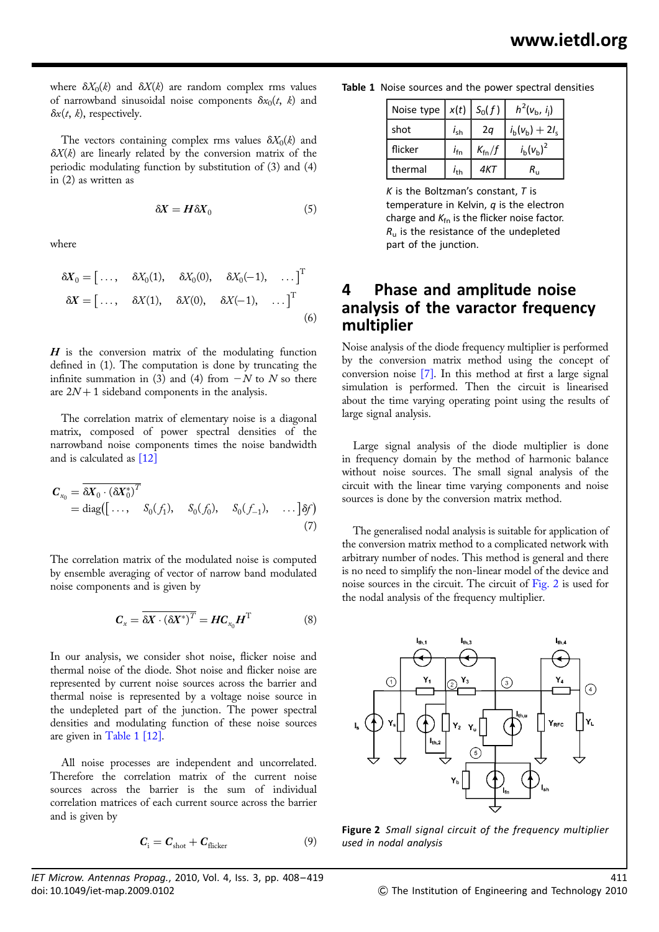where  $\delta X_0(k)$  and  $\delta X(k)$  are random complex rms values of narrowband sinusoidal noise components  $\delta x_0(t, k)$  and  $\delta x(t, k)$ , respectively.

The vectors containing complex rms values  $\delta X_0(k)$  and  $\delta X(k)$  are linearly related by the conversion matrix of the periodic modulating function by substitution of (3) and (4) in (2) as written as

$$
\delta X = H \delta X_0 \tag{5}
$$

where

$$
\delta X_0 = [\ldots, \quad \delta X_0(1), \quad \delta X_0(0), \quad \delta X_0(-1), \quad \ldots]^T
$$
  

$$
\delta X = [\ldots, \quad \delta X(1), \quad \delta X(0), \quad \delta X(-1), \quad \ldots]^T
$$
  
(6)

 $H$  is the conversion matrix of the modulating function defined in (1). The computation is done by truncating the infinite summation in (3) and (4) from  $-N$  to N so there are  $2N+1$  sideband components in the analysis.

The correlation matrix of elementary noise is a diagonal matrix, composed of power spectral densities of the narrowband noise components times the noise bandwidth and is calculated as [12]

$$
C_{x_0} = \overline{\delta X_0 \cdot (\delta X_0^*)}^T
$$
  
= diag([..., S\_0(f\_1), S\_0(f\_0), S\_0(f\_{-1}), ...]\delta f) (7)

The correlation matrix of the modulated noise is computed by ensemble averaging of vector of narrow band modulated noise components and is given by

$$
C_x = \overline{\delta X \cdot (\delta X^*)^T} = H C_{x_0} H^T
$$
 (8)

In our analysis, we consider shot noise, flicker noise and thermal noise of the diode. Shot noise and flicker noise are represented by current noise sources across the barrier and thermal noise is represented by a voltage noise source in the undepleted part of the junction. The power spectral densities and modulating function of these noise sources are given in Table 1 [12].

All noise processes are independent and uncorrelated. Therefore the correlation matrix of the current noise sources across the barrier is the sum of individual correlation matrices of each current source across the barrier and is given by

$$
C_{\rm i} = C_{\rm shot} + C_{\rm flicker} \tag{9}
$$

IET Microw. Antennas Propag., 2010, Vol. 4, Iss. 3, pp. 408– 419 411

Table 1 Noise sources and the power spectral densities

| Noise type $\vert x(t) \vert S_0(f)$ |              |                   | $h^2(v_{\rm b}, i_{\rm j})$         |
|--------------------------------------|--------------|-------------------|-------------------------------------|
| shot                                 | $I_{\rm sh}$ | 2a                | $i_{\rm b}(v_{\rm b}) + 2l_{\rm s}$ |
| flicker                              | $I_{fn}$     | $K_{\text{fn}}/f$ | $i_{\rm b}(v_{\rm b})^2$            |
| thermal                              | $I_{th}$     | 4KT               | R.,                                 |

 $K$  is the Boltzman's constant,  $T$  is temperature in Kelvin,  $q$  is the electron charge and  $K_{fn}$  is the flicker noise factor.  $R_{\text{u}}$  is the resistance of the undepleted part of the junction.

#### 4 Phase and amplitude noise analysis of the varactor frequency multiplier

Noise analysis of the diode frequency multiplier is performed by the conversion matrix method using the concept of conversion noise [7]. In this method at first a large signal simulation is performed. Then the circuit is linearised about the time varying operating point using the results of large signal analysis.

Large signal analysis of the diode multiplier is done in frequency domain by the method of harmonic balance without noise sources. The small signal analysis of the circuit with the linear time varying components and noise sources is done by the conversion matrix method.

The generalised nodal analysis is suitable for application of the conversion matrix method to a complicated network with arbitrary number of nodes. This method is general and there is no need to simplify the non-linear model of the device and noise sources in the circuit. The circuit of Fig. 2 is used for the nodal analysis of the frequency multiplier.



Figure 2 Small signal circuit of the frequency multiplier used in nodal analysis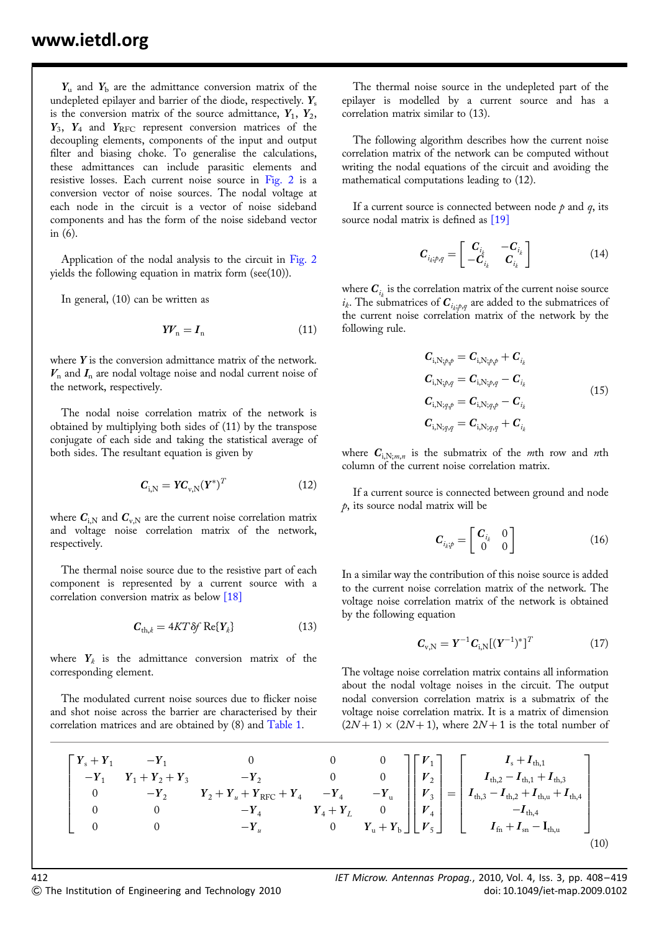$Y_u$  and  $Y_b$  are the admittance conversion matrix of the undepleted epilayer and barrier of the diode, respectively.  $Y_s$ is the conversion matrix of the source admittance,  $Y_1$ ,  $Y_2$ ,  $Y_3$ ,  $Y_4$  and  $Y_{\text{RFC}}$  represent conversion matrices of the decoupling elements, components of the input and output filter and biasing choke. To generalise the calculations, these admittances can include parasitic elements and resistive losses. Each current noise source in Fig. 2 is a conversion vector of noise sources. The nodal voltage at each node in the circuit is a vector of noise sideband components and has the form of the noise sideband vector in (6).

Application of the nodal analysis to the circuit in Fig. 2 yields the following equation in matrix form (see(10)).

In general, (10) can be written as

$$
YV_{n} = I_{n} \tag{11}
$$

where  $Y$  is the conversion admittance matrix of the network.  $V_n$  and  $I_n$  are nodal voltage noise and nodal current noise of the network, respectively.

The nodal noise correlation matrix of the network is obtained by multiplying both sides of (11) by the transpose conjugate of each side and taking the statistical average of both sides. The resultant equation is given by

$$
C_{i,N} = Y C_{v,N} (Y^*)^T
$$
 (12)

where  $C_{i,N}$  and  $C_{v,N}$  are the current noise correlation matrix and voltage noise correlation matrix of the network, respectively.

The thermal noise source due to the resistive part of each component is represented by a current source with a correlation conversion matrix as below [18]

$$
C_{\text{th},k} = 4KT\delta f \text{Re}\{Y_k\} \tag{13}
$$

where  $Y_k$  is the admittance conversion matrix of the corresponding element.

The modulated current noise sources due to flicker noise and shot noise across the barrier are characterised by their correlation matrices and are obtained by (8) and Table 1.

The thermal noise source in the undepleted part of the epilayer is modelled by a current source and has a correlation matrix similar to (13).

The following algorithm describes how the current noise correlation matrix of the network can be computed without writing the nodal equations of the circuit and avoiding the mathematical computations leading to (12).

If a current source is connected between node  $p$  and  $q$ , its source nodal matrix is defined as [19]

$$
\boldsymbol{C}_{i_k; p,q} = \begin{bmatrix} \boldsymbol{C}_{i_k} & -\boldsymbol{C}_{i_k} \\ -\boldsymbol{C}_{i_k} & \boldsymbol{C}_{i_k} \end{bmatrix}
$$
 (14)

where  $C_{i_k}$  is the correlation matrix of the current noise source  $i_k$ . The submatrices of  $C_{i_k; p, q}$  are added to the submatrices of the current noise correlation matrix of the network by the following rule.

$$
C_{i,N;p,p} = C_{i,N;p,p} + C_{i_k}
$$
  
\n
$$
C_{i,N;p,q} = C_{i,N;p,q} - C_{i_k}
$$
  
\n
$$
C_{i,N;q,p} = C_{i,N;q,p} - C_{i_k}
$$
  
\n
$$
C_{i,N;q,q} = C_{i,N;q,q} + C_{i_k}
$$
\n(15)

where  $C_{i,N;m,n}$  is the submatrix of the *m*th row and *n*th column of the current noise correlation matrix.

If a current source is connected between ground and node  $\rho$ , its source nodal matrix will be

$$
\boldsymbol{C}_{i_k; p} = \begin{bmatrix} \boldsymbol{C}_{i_k} & 0 \\ 0 & 0 \end{bmatrix} \tag{16}
$$

In a similar way the contribution of this noise source is added to the current noise correlation matrix of the network. The voltage noise correlation matrix of the network is obtained by the following equation

$$
C_{v,N} = Y^{-1} C_{i,N} [(Y^{-1})^*]^T
$$
 (17)

The voltage noise correlation matrix contains all information about the nodal voltage noises in the circuit. The output nodal conversion correlation matrix is a submatrix of the voltage noise correlation matrix. It is a matrix of dimension  $(2N+1) \times (2N+1)$ , where  $2N+1$  is the total number of

$$
\begin{bmatrix}\nY_s + Y_1 & -Y_1 & 0 & 0 & 0 \\
-Y_1 & Y_1 + Y_2 + Y_3 & -Y_2 & 0 & 0 \\
0 & -Y_2 & Y_2 + Y_u + Y_{RFC} + Y_4 & -Y_4 & -Y_u \\
0 & 0 & -Y_4 & Y_4 + Y_L & 0 \\
0 & 0 & -Y_u & 0 & Y_u + Y_b\n\end{bmatrix}\n\begin{bmatrix}\nV_1 \\
V_2 \\
V_3 \\
V_4 \\
V_5\n\end{bmatrix} =\n\begin{bmatrix}\nI_s + I_{th,1} \\
I_{th,2} - I_{th,1} + I_{th,3} \\
I_{th,3} - I_{th,2} + I_{th,u} + I_{th,4} \\
-I_{th,4} & -I_{th,u}\n\end{bmatrix}
$$
\n(10)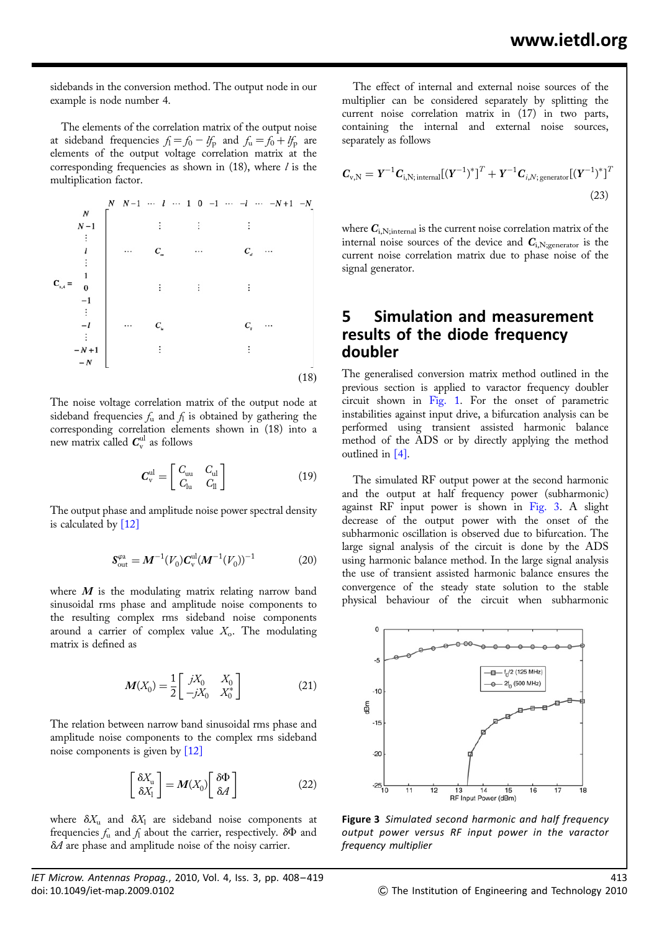sidebands in the conversion method. The output node in our example is node number 4.

The elements of the correlation matrix of the output noise at sideband frequencies  $f_1 = f_0 - f_p$  and  $f_u = f_0 + f_p$  are elements of the output voltage correlation matrix at the corresponding frequencies as shown in  $(18)$ , where l is the multiplication factor.



The noise voltage correlation matrix of the output node at sideband frequencies  $f_u$  and  $f_l$  is obtained by gathering the corresponding correlation elements shown in (18) into a new matrix called  $C_{\rm v}^{\rm ul}$  as follows

$$
\boldsymbol{C}_{\mathrm{v}}^{\mathrm{ul}} = \begin{bmatrix} C_{\mathrm{uu}} & C_{\mathrm{ul}} \\ C_{\mathrm{lu}} & C_{\mathrm{ll}} \end{bmatrix} \tag{19}
$$

The output phase and amplitude noise power spectral density is calculated by [12]

$$
\mathbf{S}_{\text{out}}^{\varphi a} = \mathbf{M}^{-1}(V_0) \mathbf{C}_{\text{v}}^{\text{ul}} (\mathbf{M}^{-1}(V_0))^{-1} \tag{20}
$$

where  $M$  is the modulating matrix relating narrow band sinusoidal rms phase and amplitude noise components to the resulting complex rms sideband noise components around a carrier of complex value  $X_0$ . The modulating matrix is defined as

$$
M(X_0) = \frac{1}{2} \begin{bmatrix} jX_0 & X_0 \\ -jX_0 & X_0^* \end{bmatrix}
$$
 (21)

The relation between narrow band sinusoidal rms phase and amplitude noise components to the complex rms sideband noise components is given by [12]

$$
\begin{bmatrix} \delta X_{\mathrm{u}} \\ \delta X_{\mathrm{l}} \end{bmatrix} = M(X_0) \begin{bmatrix} \delta \Phi \\ \delta A \end{bmatrix}
$$
 (22)

where  $\delta X_{\text{u}}$  and  $\delta X_{\text{l}}$  are sideband noise components at frequencies  $f_u$  and  $f_l$  about the carrier, respectively.  $\delta \Phi$  and  $\delta A$  are phase and amplitude noise of the noisy carrier.

IET Microw. Antennas Propag., 2010, Vol. 4, Iss. 3, pp. 408–419 413 doi: 10.1049/iet-map.2009.0102 entitled and Technology 2010

The effect of internal and external noise sources of the multiplier can be considered separately by splitting the current noise correlation matrix in (17) in two parts, containing the internal and external noise sources, separately as follows

$$
C_{v,N} = Y^{-1} C_{i,N;\,\text{internal}} \left[ (Y^{-1})^* \right]^T + Y^{-1} C_{i,N;\,\text{generator}} \left[ (Y^{-1})^* \right]^T
$$
\n(23)

where  $C_{i,N;internal}$  is the current noise correlation matrix of the internal noise sources of the device and  $C_{i,N;generator}$  is the current noise correlation matrix due to phase noise of the signal generator.

#### 5 Simulation and measurement results of the diode frequency doubler

The generalised conversion matrix method outlined in the previous section is applied to varactor frequency doubler circuit shown in Fig. 1. For the onset of parametric instabilities against input drive, a bifurcation analysis can be performed using transient assisted harmonic balance method of the ADS or by directly applying the method outlined in [4].

The simulated RF output power at the second harmonic and the output at half frequency power (subharmonic) against RF input power is shown in Fig. 3. A slight decrease of the output power with the onset of the subharmonic oscillation is observed due to bifurcation. The large signal analysis of the circuit is done by the ADS using harmonic balance method. In the large signal analysis the use of transient assisted harmonic balance ensures the convergence of the steady state solution to the stable physical behaviour of the circuit when subharmonic



Figure 3 Simulated second harmonic and half frequency output power versus RF input power in the varactor frequency multiplier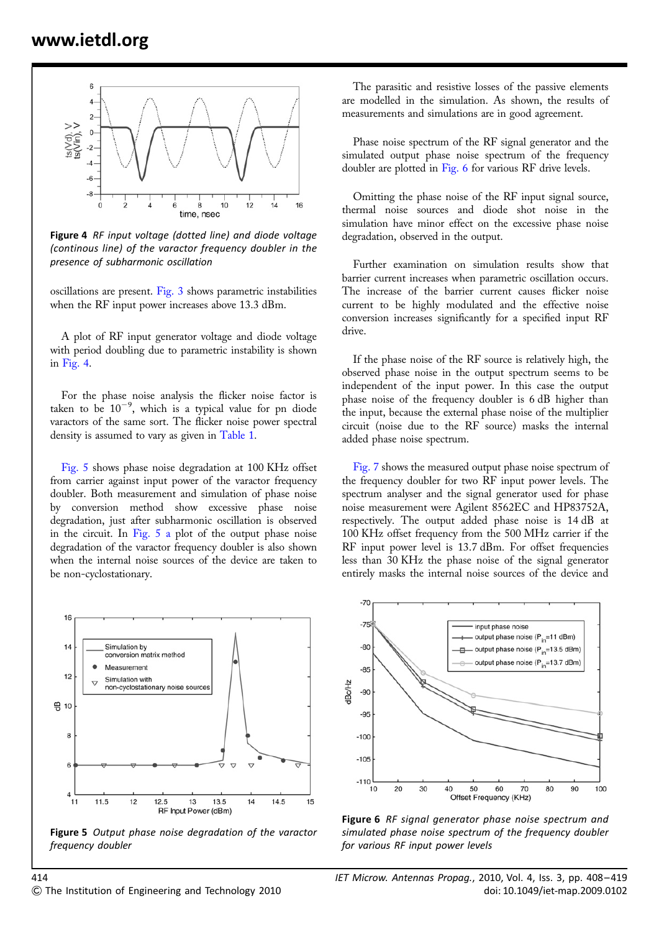

Figure 4 RF input voltage (dotted line) and diode voltage (continous line) of the varactor frequency doubler in the presence of subharmonic oscillation

oscillations are present. Fig. 3 shows parametric instabilities when the RF input power increases above 13.3 dBm.

A plot of RF input generator voltage and diode voltage with period doubling due to parametric instability is shown in Fig. 4.

For the phase noise analysis the flicker noise factor is taken to be  $10^{-9}$ , which is a typical value for pn diode varactors of the same sort. The flicker noise power spectral density is assumed to vary as given in Table 1.

Fig. 5 shows phase noise degradation at 100 KHz offset from carrier against input power of the varactor frequency doubler. Both measurement and simulation of phase noise by conversion method show excessive phase noise degradation, just after subharmonic oscillation is observed in the circuit. In Fig. 5 a plot of the output phase noise degradation of the varactor frequency doubler is also shown when the internal noise sources of the device are taken to be non-cyclostationary.



Figure 5 Output phase noise degradation of the varactor frequency doubler

The parasitic and resistive losses of the passive elements are modelled in the simulation. As shown, the results of measurements and simulations are in good agreement.

Phase noise spectrum of the RF signal generator and the simulated output phase noise spectrum of the frequency doubler are plotted in Fig. 6 for various RF drive levels.

Omitting the phase noise of the RF input signal source, thermal noise sources and diode shot noise in the simulation have minor effect on the excessive phase noise degradation, observed in the output.

Further examination on simulation results show that barrier current increases when parametric oscillation occurs. The increase of the barrier current causes flicker noise current to be highly modulated and the effective noise conversion increases significantly for a specified input RF drive.

If the phase noise of the RF source is relatively high, the observed phase noise in the output spectrum seems to be independent of the input power. In this case the output phase noise of the frequency doubler is 6 dB higher than the input, because the external phase noise of the multiplier circuit (noise due to the RF source) masks the internal added phase noise spectrum.

Fig. 7 shows the measured output phase noise spectrum of the frequency doubler for two RF input power levels. The spectrum analyser and the signal generator used for phase noise measurement were Agilent 8562EC and HP83752A, respectively. The output added phase noise is 14 dB at 100 KHz offset frequency from the 500 MHz carrier if the RF input power level is 13.7 dBm. For offset frequencies less than 30 KHz the phase noise of the signal generator entirely masks the internal noise sources of the device and



Figure 6 RF signal generator phase noise spectrum and simulated phase noise spectrum of the frequency doubler for various RF input power levels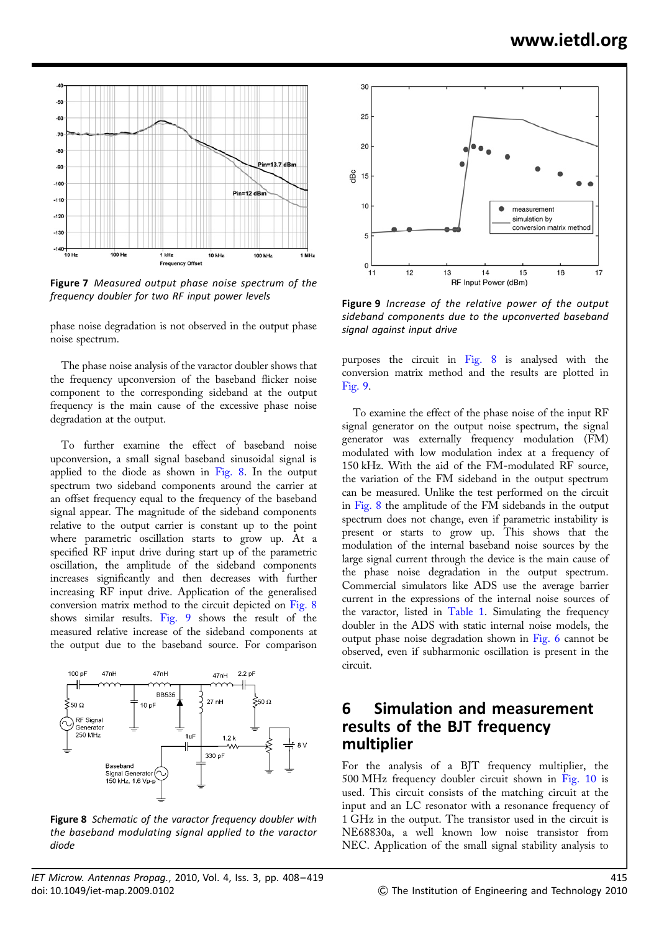

Figure 7 Measured output phase noise spectrum of the frequency doubler for two RF input power levels

phase noise degradation is not observed in the output phase noise spectrum.

The phase noise analysis of the varactor doubler shows that the frequency upconversion of the baseband flicker noise component to the corresponding sideband at the output frequency is the main cause of the excessive phase noise degradation at the output.

To further examine the effect of baseband noise upconversion, a small signal baseband sinusoidal signal is applied to the diode as shown in Fig. 8. In the output spectrum two sideband components around the carrier at an offset frequency equal to the frequency of the baseband signal appear. The magnitude of the sideband components relative to the output carrier is constant up to the point where parametric oscillation starts to grow up. At a specified RF input drive during start up of the parametric oscillation, the amplitude of the sideband components increases significantly and then decreases with further increasing RF input drive. Application of the generalised conversion matrix method to the circuit depicted on Fig. 8 shows similar results. Fig. 9 shows the result of the measured relative increase of the sideband components at the output due to the baseband source. For comparison



Figure 8 Schematic of the varactor frequency doubler with the baseband modulating signal applied to the varactor diode



Figure 9 Increase of the relative power of the output sideband components due to the upconverted baseband signal against input drive

purposes the circuit in Fig. 8 is analysed with the conversion matrix method and the results are plotted in Fig. 9.

To examine the effect of the phase noise of the input RF signal generator on the output noise spectrum, the signal generator was externally frequency modulation (FM) modulated with low modulation index at a frequency of 150 kHz. With the aid of the FM-modulated RF source, the variation of the FM sideband in the output spectrum can be measured. Unlike the test performed on the circuit in Fig. 8 the amplitude of the FM sidebands in the output spectrum does not change, even if parametric instability is present or starts to grow up. This shows that the modulation of the internal baseband noise sources by the large signal current through the device is the main cause of the phase noise degradation in the output spectrum. Commercial simulators like ADS use the average barrier current in the expressions of the internal noise sources of the varactor, listed in Table 1. Simulating the frequency doubler in the ADS with static internal noise models, the output phase noise degradation shown in Fig. 6 cannot be observed, even if subharmonic oscillation is present in the circuit.

#### 6 Simulation and measurement results of the BJT frequency multiplier

For the analysis of a BJT frequency multiplier, the 500 MHz frequency doubler circuit shown in Fig. 10 is used. This circuit consists of the matching circuit at the input and an LC resonator with a resonance frequency of 1 GHz in the output. The transistor used in the circuit is NE68830a, a well known low noise transistor from NEC. Application of the small signal stability analysis to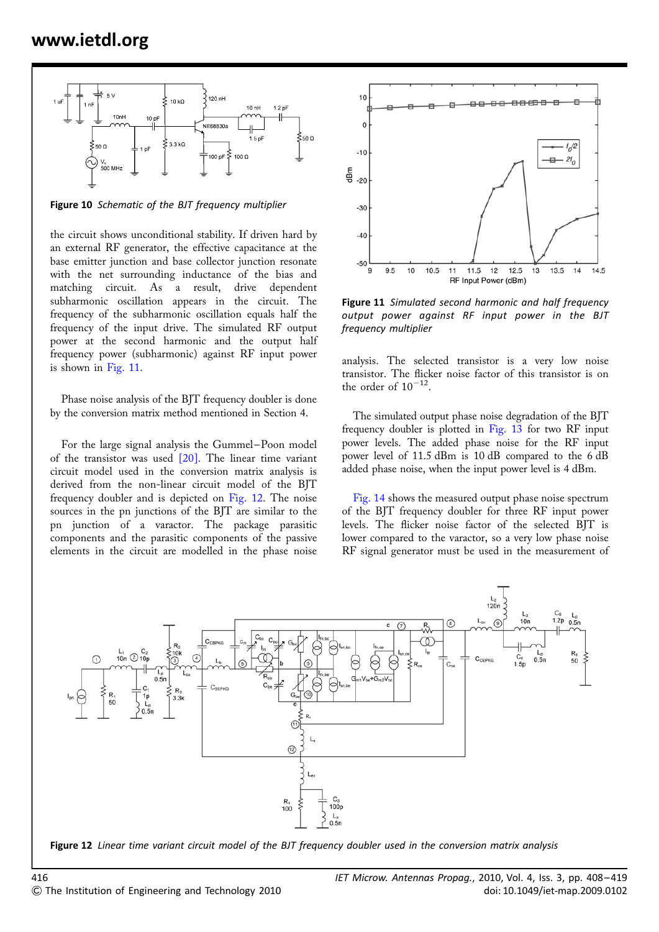### www.ietdl.org



Figure 10 Schematic of the BJT frequency multiplier

the circuit shows unconditional stability. If driven hard by an external RF generator, the effective capacitance at the base emitter junction and base collector junction resonate with the net surrounding inductance of the bias and matching circuit. As a result, drive dependent subharmonic oscillation appears in the circuit. The frequency of the subharmonic oscillation equals half the frequency of the input drive. The simulated RF output power at the second harmonic and the output half frequency power (subharmonic) against RF input power is shown in Fig. 11.

Phase noise analysis of the BJT frequency doubler is done by the conversion matrix method mentioned in Section 4.

For the large signal analysis the Gummel-Poon model of the transistor was used [20]. The linear time variant circuit model used in the conversion matrix analysis is derived from the non-linear circuit model of the BJT frequency doubler and is depicted on Fig. 12. The noise sources in the pn junctions of the BJT are similar to the pn junction of a varactor. The package parasitic components and the parasitic components of the passive elements in the circuit are modelled in the phase noise



Figure 11 Simulated second harmonic and half frequency output power against RF input power in the BJT frequency multiplier

analysis. The selected transistor is a very low noise transistor. The flicker noise factor of this transistor is on the order of  $10^{-12}$ .

The simulated output phase noise degradation of the BJT frequency doubler is plotted in Fig. 13 for two RF input power levels. The added phase noise for the RF input power level of 11.5 dBm is 10 dB compared to the 6 dB added phase noise, when the input power level is 4 dBm.

Fig. 14 shows the measured output phase noise spectrum of the BJT frequency doubler for three RF input power levels. The flicker noise factor of the selected BJT is lower compared to the varactor, so a very low phase noise RF signal generator must be used in the measurement of



Figure 12 Linear time variant circuit model of the BJT frequency doubler used in the conversion matrix analysis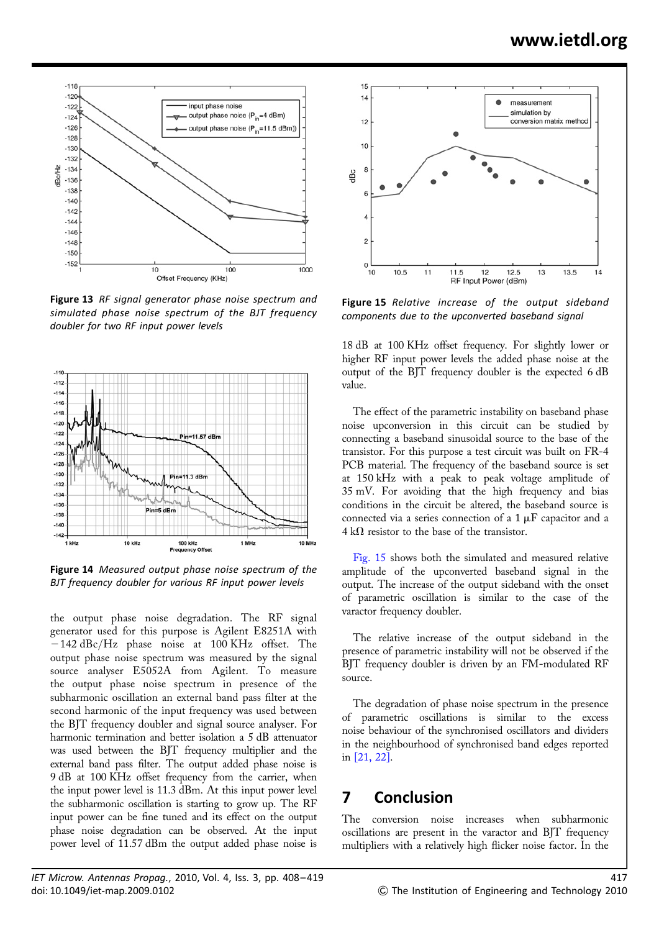

Figure 13 RF signal generator phase noise spectrum and simulated phase noise spectrum of the BJT frequency doubler for two RF input power levels



Figure 14 Measured output phase noise spectrum of the BJT frequency doubler for various RF input power levels

the output phase noise degradation. The RF signal generator used for this purpose is Agilent E8251A with  $-142$  dBc/Hz phase noise at 100 KHz offset. The output phase noise spectrum was measured by the signal source analyser E5052A from Agilent. To measure the output phase noise spectrum in presence of the subharmonic oscillation an external band pass filter at the second harmonic of the input frequency was used between the BJT frequency doubler and signal source analyser. For harmonic termination and better isolation a 5 dB attenuator was used between the BJT frequency multiplier and the external band pass filter. The output added phase noise is 9 dB at 100 KHz offset frequency from the carrier, when the input power level is 11.3 dBm. At this input power level the subharmonic oscillation is starting to grow up. The RF input power can be fine tuned and its effect on the output phase noise degradation can be observed. At the input power level of 11.57 dBm the output added phase noise is





Figure 15 Relative increase of the output sideband components due to the upconverted baseband signal

18 dB at 100 KHz offset frequency. For slightly lower or higher RF input power levels the added phase noise at the output of the BJT frequency doubler is the expected 6 dB value.

The effect of the parametric instability on baseband phase noise upconversion in this circuit can be studied by connecting a baseband sinusoidal source to the base of the transistor. For this purpose a test circuit was built on FR-4 PCB material. The frequency of the baseband source is set at 150 kHz with a peak to peak voltage amplitude of 35 mV. For avoiding that the high frequency and bias conditions in the circuit be altered, the baseband source is connected via a series connection of a  $1 \mu F$  capacitor and a  $4 k\Omega$  resistor to the base of the transistor.

Fig. 15 shows both the simulated and measured relative amplitude of the upconverted baseband signal in the output. The increase of the output sideband with the onset of parametric oscillation is similar to the case of the varactor frequency doubler.

The relative increase of the output sideband in the presence of parametric instability will not be observed if the BJT frequency doubler is driven by an FM-modulated RF source.

The degradation of phase noise spectrum in the presence of parametric oscillations is similar to the excess noise behaviour of the synchronised oscillators and dividers in the neighbourhood of synchronised band edges reported in [21, 22].

## 7 Conclusion

The conversion noise increases when subharmonic oscillations are present in the varactor and BJT frequency multipliers with a relatively high flicker noise factor. In the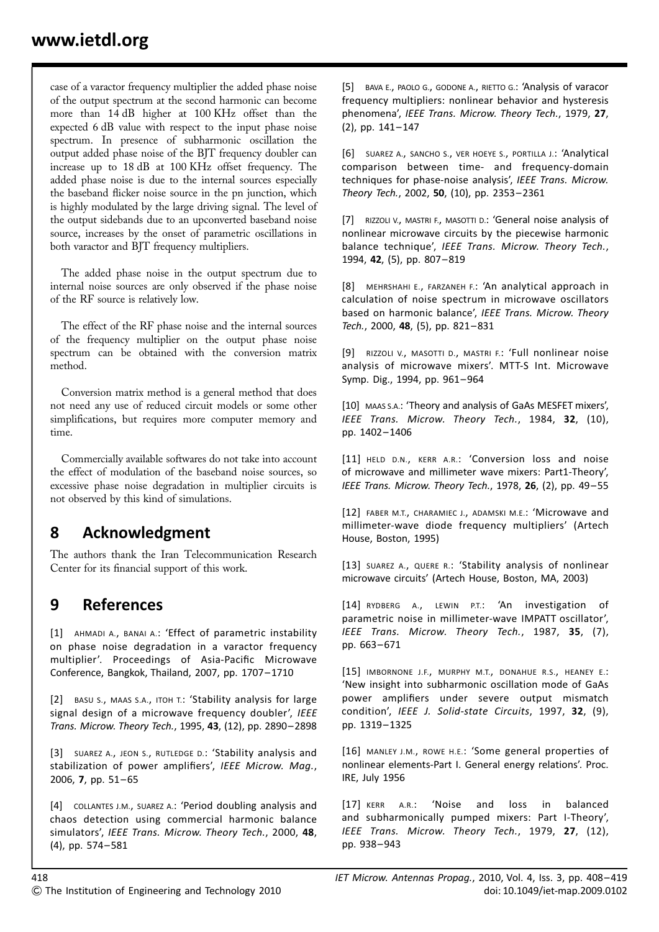case of a varactor frequency multiplier the added phase noise of the output spectrum at the second harmonic can become more than 14 dB higher at 100 KHz offset than the expected 6 dB value with respect to the input phase noise spectrum. In presence of subharmonic oscillation the output added phase noise of the BJT frequency doubler can increase up to 18 dB at 100 KHz offset frequency. The added phase noise is due to the internal sources especially the baseband flicker noise source in the pn junction, which is highly modulated by the large driving signal. The level of the output sidebands due to an upconverted baseband noise source, increases by the onset of parametric oscillations in both varactor and BJT frequency multipliers.

The added phase noise in the output spectrum due to internal noise sources are only observed if the phase noise of the RF source is relatively low.

The effect of the RF phase noise and the internal sources of the frequency multiplier on the output phase noise spectrum can be obtained with the conversion matrix method.

Conversion matrix method is a general method that does not need any use of reduced circuit models or some other simplifications, but requires more computer memory and time.

Commercially available softwares do not take into account the effect of modulation of the baseband noise sources, so excessive phase noise degradation in multiplier circuits is not observed by this kind of simulations.

## 8 Acknowledgment

The authors thank the Iran Telecommunication Research Center for its financial support of this work.

## 9 References

[1] AHMADI A., BANAI A.: 'Effect of parametric instability on phase noise degradation in a varactor frequency multiplier'. Proceedings of Asia-Pacific Microwave Conference, Bangkok, Thailand, 2007, pp. 1707– 1710

[2] BASU S., MAAS S.A., ITOH T.: 'Stability analysis for large signal design of a microwave frequency doubler', IEEE Trans. Microw. Theory Tech., 1995, 43, (12), pp. 2890– 2898

[3] SUAREZ A., JEON S., RUTLEDGE D.: 'Stability analysis and stabilization of power amplifiers', IEEE Microw. Mag., 2006,  $7$ , pp.  $51-65$ 

[4] COLLANTES J.M., SUAREZ A.: 'Period doubling analysis and chaos detection using commercial harmonic balance simulators', IEEE Trans. Microw. Theory Tech., 2000, 48, (4), pp. 574– 581

[5] BAVA E., PAOLO G., GODONE A., RIETTO G.: 'Analysis of varacor frequency multipliers: nonlinear behavior and hysteresis phenomena', IEEE Trans. Microw. Theory Tech., 1979, 27, (2), pp. 141– 147

[6] SUAREZ A., SANCHO S., VER HOEYE S., PORTILLA J.: 'Analytical comparison between time- and frequency-domain techniques for phase-noise analysis', IEEE Trans. Microw. Theory Tech., 2002, 50, (10), pp. 2353– 2361

[7] RIZZOLI V., MASTRI F., MASOTTI D.: 'General noise analysis of nonlinear microwave circuits by the piecewise harmonic balance technique', IEEE Trans. Microw. Theory Tech., 1994, 42, (5), pp. 807-819

[8] MEHRSHAHI E., FARZANEH F.: 'An analytical approach in calculation of noise spectrum in microwave oscillators based on harmonic balance', IEEE Trans. Microw. Theory Tech., 2000, 48, (5), pp. 821-831

[9] RIZZOLI V., MASOTTI D., MASTRI F.: 'Full nonlinear noise analysis of microwave mixers'. MTT-S Int. Microwave Symp. Dig., 1994, pp. 961– 964

[10] MAAS S.A.: 'Theory and analysis of GaAs MESFET mixers', IEEE Trans. Microw. Theory Tech., 1984, 32, (10), pp. 1402– 1406

[11] HELD D.N., KERR A.R.: 'Conversion loss and noise of microwave and millimeter wave mixers: Part1-Theory', IEEE Trans. Microw. Theory Tech., 1978, 26, (2), pp. 49– 55

[12] FABER M.T., CHARAMIEC J., ADAMSKI M.E.: 'Microwave and millimeter-wave diode frequency multipliers' (Artech House, Boston, 1995)

[13] SUAREZ A., QUERE R.: 'Stability analysis of nonlinear microwave circuits' (Artech House, Boston, MA, 2003)

[14] RYDBERG A., LEWIN P.T.: 'An investigation of parametric noise in millimeter-wave IMPATT oscillator', IEEE Trans. Microw. Theory Tech., 1987, 35, (7), pp. 663– 671

[15] IMBORNONE J.F., MURPHY M.T., DONAHUE R.S., HEANEY E.: 'New insight into subharmonic oscillation mode of GaAs power amplifiers under severe output mismatch condition', IEEE J. Solid-state Circuits, 1997, 32, (9), pp. 1319– 1325

[16] MANLEY J.M., ROWE H.E.: 'Some general properties of nonlinear elements-Part I. General energy relations'. Proc. IRE, July 1956

[17] KERR A.R.: 'Noise and loss in balanced and subharmonically pumped mixers: Part I-Theory', IEEE Trans. Microw. Theory Tech., 1979, 27, (12), pp. 938– 943